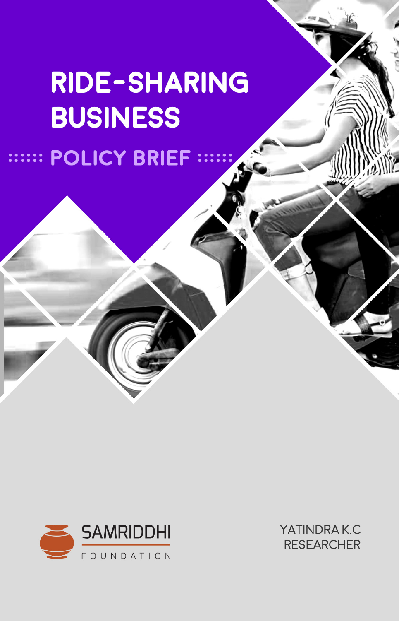# RIDE-SHARING **BUSINESS** :::::: POLICY BRIEF



YATINDRAK.C **RESEARCHER**  ا لواقع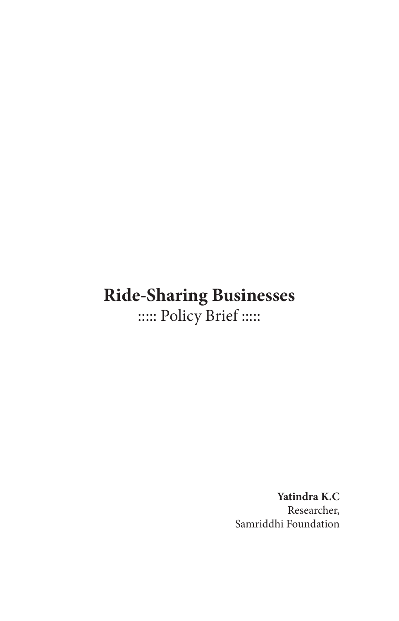## **Ride-Sharing Businesses** ::::: Policy Brief :::::

**Yatindra K.C** Researcher, Samriddhi Foundation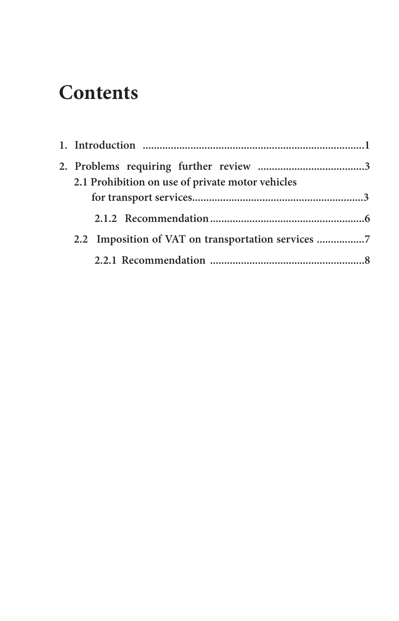## **Contents**

| 2.1 Prohibition on use of private motor vehicles |  |  |  |  |
|--------------------------------------------------|--|--|--|--|
|                                                  |  |  |  |  |
|                                                  |  |  |  |  |
| 2.2 Imposition of VAT on transportation services |  |  |  |  |
|                                                  |  |  |  |  |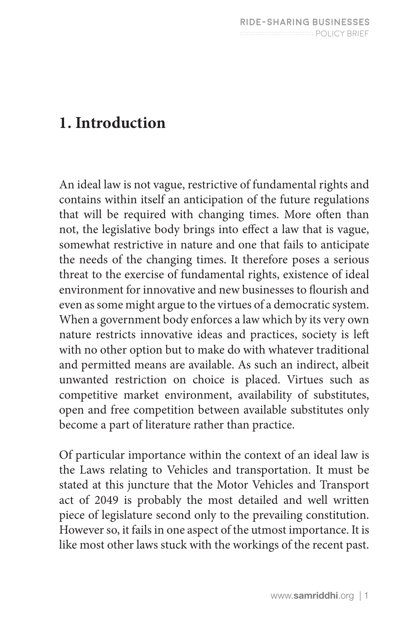### **1. Introduction**

An ideal law is not vague, restrictive of fundamental rights and contains within itself an anticipation of the future regulations that will be required with changing times. More often than not, the legislative body brings into effect a law that is vague, somewhat restrictive in nature and one that fails to anticipate the needs of the changing times. It therefore poses a serious threat to the exercise of fundamental rights, existence of ideal environment for innovative and new businesses to flourish and even as some might argue to the virtues of a democratic system. When a government body enforces a law which by its very own nature restricts innovative ideas and practices, society is left with no other option but to make do with whatever traditional and permitted means are available. As such an indirect, albeit unwanted restriction on choice is placed. Virtues such as competitive market environment, availability of substitutes, open and free competition between available substitutes only become a part of literature rather than practice.

Of particular importance within the context of an ideal law is the Laws relating to Vehicles and transportation. It must be stated at this juncture that the Motor Vehicles and Transport act of 2049 is probably the most detailed and well written piece of legislature second only to the prevailing constitution. However so, it fails in one aspect of the utmost importance. It is like most other laws stuck with the workings of the recent past.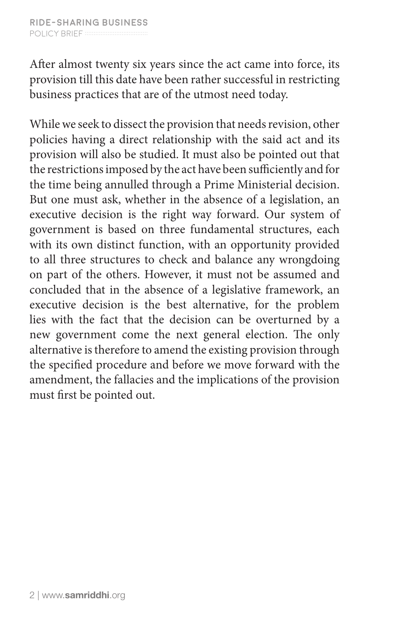After almost twenty six years since the act came into force, its provision till this date have been rather successful in restricting business practices that are of the utmost need today.

While we seek to dissect the provision that needs revision, other policies having a direct relationship with the said act and its provision will also be studied. It must also be pointed out that the restrictions imposed by the act have been sufficiently and for the time being annulled through a Prime Ministerial decision. But one must ask, whether in the absence of a legislation, an executive decision is the right way forward. Our system of government is based on three fundamental structures, each with its own distinct function, with an opportunity provided to all three structures to check and balance any wrongdoing on part of the others. However, it must not be assumed and concluded that in the absence of a legislative framework, an executive decision is the best alternative, for the problem lies with the fact that the decision can be overturned by a new government come the next general election. The only alternative is therefore to amend the existing provision through the specified procedure and before we move forward with the amendment, the fallacies and the implications of the provision must first be pointed out.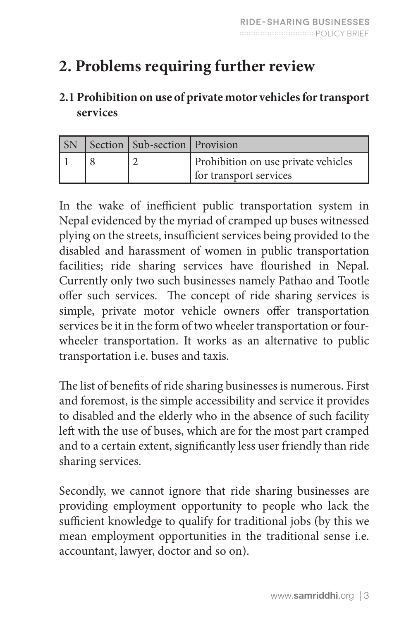## **2. Problems requiring further review**

#### **2.1 Prohibition on use of private motor vehicles for transport services**

| <b>SN</b> |  | Section   Sub-section   Provision |                                                               |  |
|-----------|--|-----------------------------------|---------------------------------------------------------------|--|
|           |  |                                   | Prohibition on use private vehicles<br>for transport services |  |

In the wake of inefficient public transportation system in Nepal evidenced by the myriad of cramped up buses witnessed plying on the streets, insufficient services being provided to the disabled and harassment of women in public transportation facilities; ride sharing services have flourished in Nepal. Currently only two such businesses namely Pathao and Tootle offer such services. The concept of ride sharing services is simple, private motor vehicle owners offer transportation services be it in the form of two wheeler transportation or fourwheeler transportation. It works as an alternative to public transportation i.e. buses and taxis.

The list of benefits of ride sharing businesses is numerous. First and foremost, is the simple accessibility and service it provides to disabled and the elderly who in the absence of such facility left with the use of buses, which are for the most part cramped and to a certain extent, significantly less user friendly than ride sharing services.

Secondly, we cannot ignore that ride sharing businesses are providing employment opportunity to people who lack the sufficient knowledge to qualify for traditional jobs (by this we mean employment opportunities in the traditional sense i.e. accountant, lawyer, doctor and so on).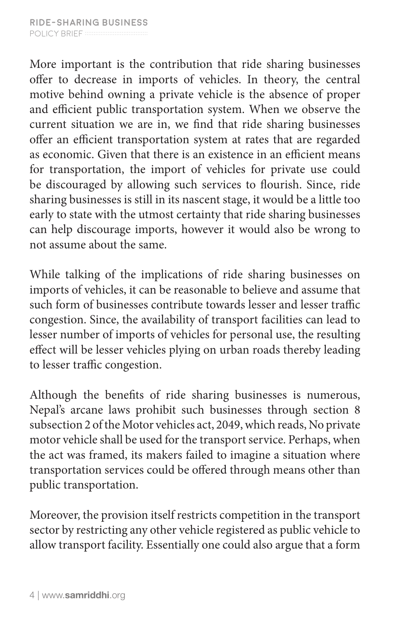More important is the contribution that ride sharing businesses offer to decrease in imports of vehicles. In theory, the central motive behind owning a private vehicle is the absence of proper and efficient public transportation system. When we observe the current situation we are in, we find that ride sharing businesses offer an efficient transportation system at rates that are regarded as economic. Given that there is an existence in an efficient means for transportation, the import of vehicles for private use could be discouraged by allowing such services to flourish. Since, ride sharing businesses is still in its nascent stage, it would be a little too early to state with the utmost certainty that ride sharing businesses can help discourage imports, however it would also be wrong to not assume about the same.

While talking of the implications of ride sharing businesses on imports of vehicles, it can be reasonable to believe and assume that such form of businesses contribute towards lesser and lesser traffic congestion. Since, the availability of transport facilities can lead to lesser number of imports of vehicles for personal use, the resulting effect will be lesser vehicles plying on urban roads thereby leading to lesser traffic congestion.

Although the benefits of ride sharing businesses is numerous, Nepal's arcane laws prohibit such businesses through section 8 subsection 2 of the Motor vehicles act, 2049, which reads, No private motor vehicle shall be used for the transport service. Perhaps, when the act was framed, its makers failed to imagine a situation where transportation services could be offered through means other than public transportation.

Moreover, the provision itself restricts competition in the transport sector by restricting any other vehicle registered as public vehicle to allow transport facility. Essentially one could also argue that a form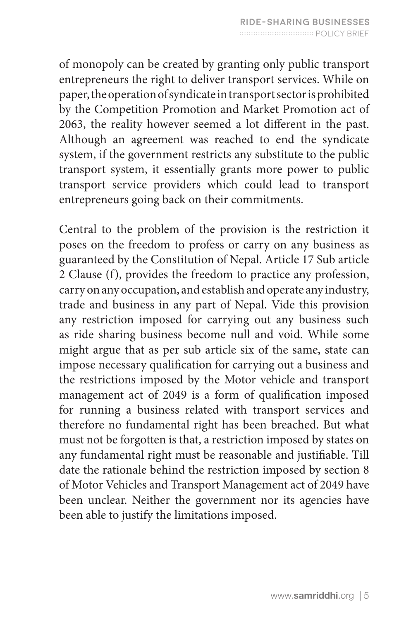of monopoly can be created by granting only public transport entrepreneurs the right to deliver transport services. While on paper, the operation of syndicate in transport sector is prohibited by the Competition Promotion and Market Promotion act of 2063, the reality however seemed a lot different in the past. Although an agreement was reached to end the syndicate system, if the government restricts any substitute to the public transport system, it essentially grants more power to public transport service providers which could lead to transport entrepreneurs going back on their commitments.

Central to the problem of the provision is the restriction it poses on the freedom to profess or carry on any business as guaranteed by the Constitution of Nepal. Article 17 Sub article 2 Clause (f), provides the freedom to practice any profession, carry on any occupation, and establish and operate any industry, trade and business in any part of Nepal. Vide this provision any restriction imposed for carrying out any business such as ride sharing business become null and void. While some might argue that as per sub article six of the same, state can impose necessary qualification for carrying out a business and the restrictions imposed by the Motor vehicle and transport management act of 2049 is a form of qualification imposed for running a business related with transport services and therefore no fundamental right has been breached. But what must not be forgotten is that, a restriction imposed by states on any fundamental right must be reasonable and justifiable. Till date the rationale behind the restriction imposed by section 8 of Motor Vehicles and Transport Management act of 2049 have been unclear. Neither the government nor its agencies have been able to justify the limitations imposed.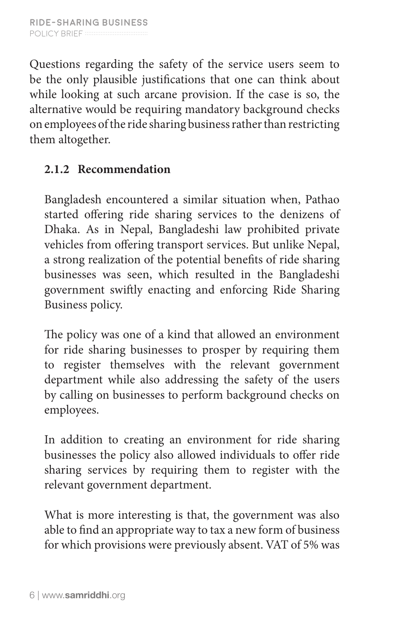Questions regarding the safety of the service users seem to be the only plausible justifications that one can think about while looking at such arcane provision. If the case is so, the alternative would be requiring mandatory background checks on employees of the ride sharing business rather than restricting them altogether.

#### **2.1.2 Recommendation**

Bangladesh encountered a similar situation when, Pathao started offering ride sharing services to the denizens of Dhaka. As in Nepal, Bangladeshi law prohibited private vehicles from offering transport services. But unlike Nepal, a strong realization of the potential benefits of ride sharing businesses was seen, which resulted in the Bangladeshi government swiftly enacting and enforcing Ride Sharing Business policy.

The policy was one of a kind that allowed an environment for ride sharing businesses to prosper by requiring them to register themselves with the relevant government department while also addressing the safety of the users by calling on businesses to perform background checks on employees.

In addition to creating an environment for ride sharing businesses the policy also allowed individuals to offer ride sharing services by requiring them to register with the relevant government department.

What is more interesting is that, the government was also able to find an appropriate way to tax a new form of business for which provisions were previously absent. VAT of 5% was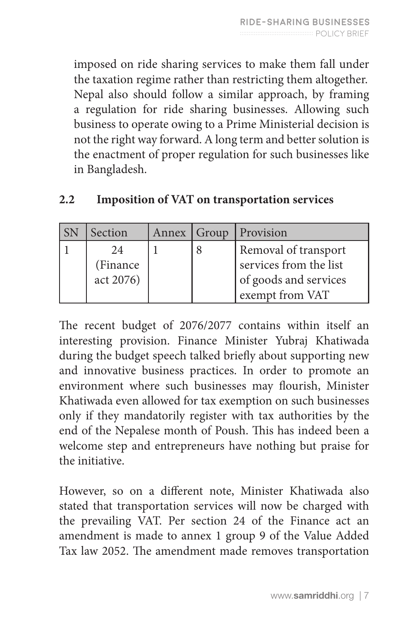imposed on ride sharing services to make them fall under the taxation regime rather than restricting them altogether. Nepal also should follow a similar approach, by framing a regulation for ride sharing businesses. Allowing such business to operate owing to a Prime Ministerial decision is not the right way forward. A long term and better solution is the enactment of proper regulation for such businesses like in Bangladesh.

| Section   | Annex   Group | Provision              |  |
|-----------|---------------|------------------------|--|
| 24        |               | Removal of transport   |  |
| (Finance) |               | services from the list |  |
| act 2076) |               | of goods and services  |  |
|           |               | exempt from VAT        |  |

| 2.2 |  |  | <b>Imposition of VAT on transportation services</b> |  |
|-----|--|--|-----------------------------------------------------|--|
|-----|--|--|-----------------------------------------------------|--|

The recent budget of 2076/2077 contains within itself an interesting provision. Finance Minister Yubraj Khatiwada during the budget speech talked briefly about supporting new and innovative business practices. In order to promote an environment where such businesses may flourish, Minister Khatiwada even allowed for tax exemption on such businesses only if they mandatorily register with tax authorities by the end of the Nepalese month of Poush. This has indeed been a welcome step and entrepreneurs have nothing but praise for the initiative.

However, so on a different note, Minister Khatiwada also stated that transportation services will now be charged with the prevailing VAT. Per section 24 of the Finance act an amendment is made to annex 1 group 9 of the Value Added Tax law 2052. The amendment made removes transportation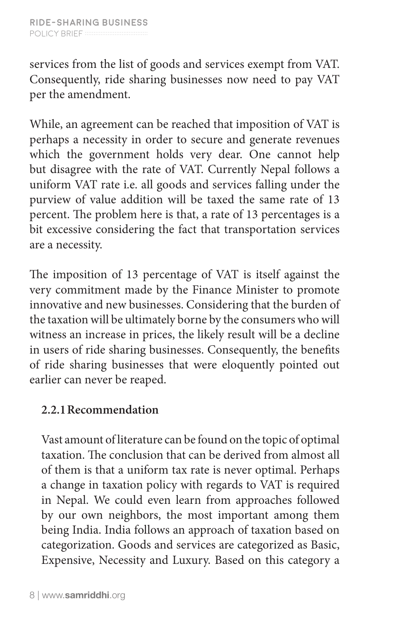services from the list of goods and services exempt from VAT. Consequently, ride sharing businesses now need to pay VAT per the amendment.

While, an agreement can be reached that imposition of VAT is perhaps a necessity in order to secure and generate revenues which the government holds very dear. One cannot help but disagree with the rate of VAT. Currently Nepal follows a uniform VAT rate i.e. all goods and services falling under the purview of value addition will be taxed the same rate of 13 percent. The problem here is that, a rate of 13 percentages is a bit excessive considering the fact that transportation services are a necessity.

The imposition of 13 percentage of VAT is itself against the very commitment made by the Finance Minister to promote innovative and new businesses. Considering that the burden of the taxation will be ultimately borne by the consumers who will witness an increase in prices, the likely result will be a decline in users of ride sharing businesses. Consequently, the benefits of ride sharing businesses that were eloquently pointed out earlier can never be reaped.

#### **2.2.1Recommendation**

Vast amount of literature can be found on the topic of optimal taxation. The conclusion that can be derived from almost all of them is that a uniform tax rate is never optimal. Perhaps a change in taxation policy with regards to VAT is required in Nepal. We could even learn from approaches followed by our own neighbors, the most important among them being India. India follows an approach of taxation based on categorization. Goods and services are categorized as Basic, Expensive, Necessity and Luxury. Based on this category a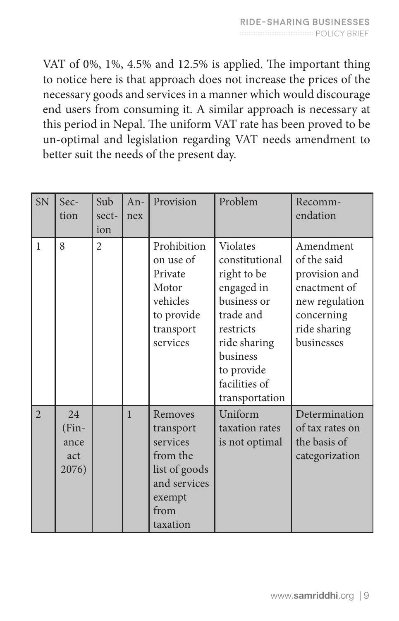VAT of 0%, 1%, 4.5% and 12.5% is applied. The important thing to notice here is that approach does not increase the prices of the necessary goods and services in a manner which would discourage end users from consuming it. A similar approach is necessary at this period in Nepal. The uniform VAT rate has been proved to be un-optimal and legislation regarding VAT needs amendment to better suit the needs of the present day.

| <b>SN</b>      | Sec-                                  | Sub            | $An-$        | Provision                                                                                                   | Problem                                                                                                                                                                       | Recomm-                                                                                                                 |
|----------------|---------------------------------------|----------------|--------------|-------------------------------------------------------------------------------------------------------------|-------------------------------------------------------------------------------------------------------------------------------------------------------------------------------|-------------------------------------------------------------------------------------------------------------------------|
|                | tion                                  | sect-          | nex          |                                                                                                             |                                                                                                                                                                               | endation                                                                                                                |
|                |                                       | ion            |              |                                                                                                             |                                                                                                                                                                               |                                                                                                                         |
| $\mathbf{1}$   | 8                                     | $\overline{2}$ |              | Prohibition<br>on use of<br>Private<br>Motor<br>vehicles<br>to provide<br>transport<br>services             | Violates<br>constitutional<br>right to be<br>engaged in<br>business or<br>trade and<br>restricts<br>ride sharing<br>business<br>to provide<br>facilities of<br>transportation | Amendment<br>of the said<br>provision and<br>enactment of<br>new regulation<br>concerning<br>ride sharing<br>businesses |
| $\overline{2}$ | 24<br>$(Fin-$<br>ance<br>act<br>2076) |                | $\mathbf{1}$ | Removes<br>transport<br>services<br>from the<br>list of goods<br>and services<br>exempt<br>from<br>taxation | Uniform<br>taxation rates<br>is not optimal                                                                                                                                   | Determination<br>of tax rates on<br>the basis of<br>categorization                                                      |